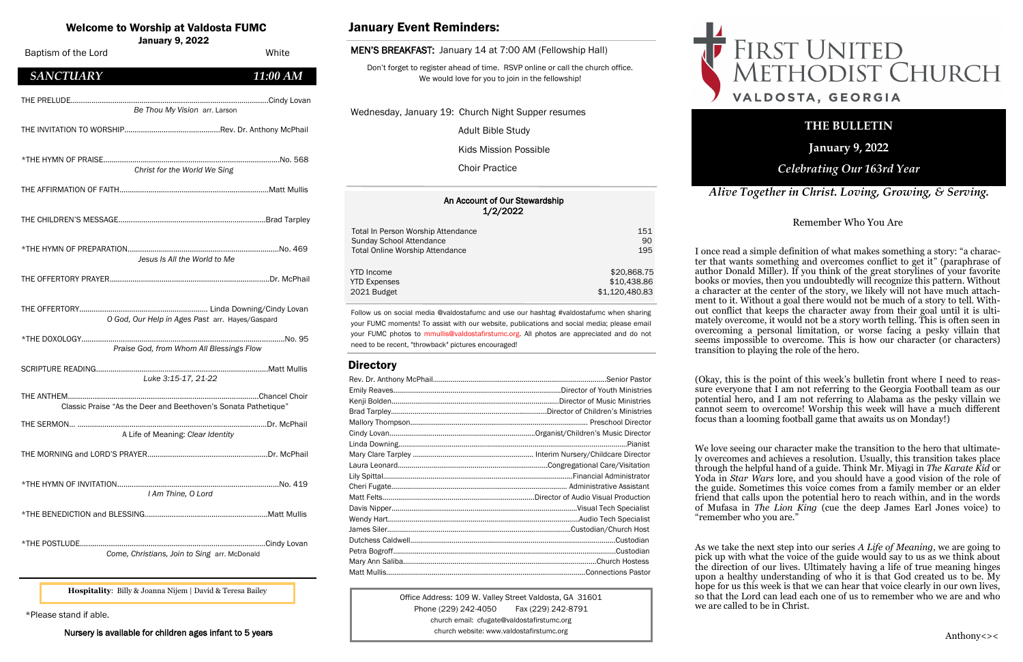#### An Account of Our Stewardship 1/2/2022

| Total In Person Worship Attendance     | 151            |
|----------------------------------------|----------------|
| Sunday School Attendance               | 90             |
| <b>Total Online Worship Attendance</b> | 195            |
| <b>YTD</b> Income                      | \$20,868.75    |
| <b>YTD Expenses</b>                    | \$10,438.86    |
| 2021 Budget                            | \$1,120,480.83 |

## Welcome to Worship at Valdosta FUMC

January 9, 2022

Office Address: 109 W. Valley Street Valdosta, GA 31601 Phone (229) 242-4050 Fax (229) 242-8791 church email: cfugate@valdostafirstumc.org church website: www.valdostafirstumc.org





*Alive Together in Christ. Loving, Growing, & Serving.*

# **THE BULLETIN**

**January 9, 2022**

# *Celebrating Our 163rd Year*

Follow us on social media @valdostafumc and use our hashtag #valdostafumc when sharing your FUMC moments! To assist with our website, publications and social media; please email your FUMC photos to mmullis@valdostafirstumc.org. All photos are appreciated and do not need to be recent, "throwback" pictures encouraged!

# **Directory**

# January Event Reminders:

#### MEN'S BREAKFAST: January 14 at 7:00 AM (Fellowship Hall)

Don't forget to register ahead of time. RSVP online or call the church office. We would love for you to join in the fellowship!

Wednesday, January 19: Church Night Supper resumes

Adult Bible Study

Kids Mission Possible

Choir Practice

\*Please stand if able.

Nursery is available for children ages infant to 5 years

**Hospitality**: Billy & Joanna Nijem | David & Teresa Bailey

| Baptism of the Lord                                            | White       |
|----------------------------------------------------------------|-------------|
| <b>SANCTUARY</b>                                               | 11:00 AM    |
| Be Thou My Vision arr. Larson                                  |             |
|                                                                |             |
| Christ for the World We Sing                                   |             |
|                                                                |             |
|                                                                |             |
| Jesus Is All the World to Me                                   |             |
|                                                                |             |
| O God, Our Help in Ages Past arr. Hayes/Gaspard                |             |
| Praise God, from Whom All Blessings Flow                       |             |
| Luke 3:15-17, 21-22                                            |             |
| Classic Praise "As the Deer and Beethoven's Sonata Pathetique" |             |
| THE SERMON<br>A Life of Meaning: Clear Identity                | Dr. McPhail |
|                                                                |             |
| I Am Thine, O Lord                                             |             |
|                                                                |             |
| Come, Christians, Join to Sing arr. McDonald                   |             |

Remember Who You Are

I once read a simple definition of what makes something a story: "a character that wants something and overcomes conflict to get it" (paraphrase of author Donald Miller). If you think of the great storylines of your favorite books or movies, then you undoubtedly will recognize this pattern. Without a character at the center of the story, we likely will not have much attachment to it. Without a goal there would not be much of a story to tell. Without conflict that keeps the character away from their goal until it is ultimately overcome, it would not be a story worth telling. This is often seen in overcoming a personal limitation, or worse facing a pesky villain that seems impossible to overcome. This is how our character (or characters) transition to playing the role of the hero.

(Okay, this is the point of this week's bulletin front where I need to reassure everyone that I am not referring to the Georgia Football team as our potential hero, and I am not referring to Alabama as the pesky villain we cannot seem to overcome! Worship this week will have a much different focus than a looming football game that awaits us on Monday!)

We love seeing our character make the transition to the hero that ultimately overcomes and achieves a resolution. Usually, this transition takes place through the helpful hand of a guide. Think Mr. Miyagi in *The Karate Kid* or Yoda in *Star Wars* lore, and you should have a good vision of the role of the guide. Sometimes this voice comes from a family member or an elder friend that calls upon the potential hero to reach within, and in the words of Mufasa in *The Lion King* (cue the deep James Earl Jones voice) to "remember who you are."

As we take the next step into our series *A Life of Meaning*, we are going to pick up with what the voice of the guide would say to us as we think about the direction of our lives. Ultimately having a life of true meaning hinges upon a healthy understanding of who it is that God created us to be. My hope for us this week is that we can hear that voice clearly in our own lives, so that the Lord can lead each one of us to remember who we are and who we are called to be in Christ.

# FIRST UNITED<br>METHODIST CHURCH VALDOSTA, GEORGIA